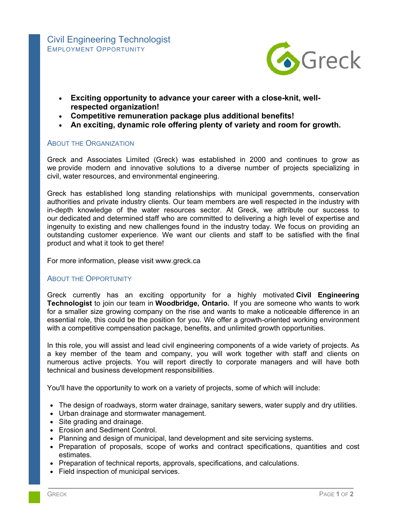

- **Exciting opportunity to advance your career with a close-knit, wellrespected organization!**
- **Competitive remuneration package plus additional benefits!**
- **An exciting, dynamic role offering plenty of variety and room for growth.**

## ABOUT THE ORGANIZATION

Greck and Associates Limited (Greck) was established in 2000 and continues to grow as we provide modern and innovative solutions to a diverse number of projects specializing in civil, water resources, and environmental engineering.

Greck has established long standing relationships with municipal governments, conservation authorities and private industry clients. Our team members are well respected in the industry with in-depth knowledge of the water resources sector. At Greck, we attribute our success to our dedicated and determined staff who are committed to delivering a high level of expertise and ingenuity to existing and new challenges found in the industry today. We focus on providing an outstanding customer experience. We want our clients and staff to be satisfied with the final product and what it took to get there!

For more information, please visit www.greck.ca

## **ABOUT THE OPPORTUNITY**

Greck currently has an exciting opportunity for a highly motivated **Civil Engineering Technologist** to join our team in **Woodbridge, Ontario.** If you are someone who wants to work for a smaller size growing company on the rise and wants to make a noticeable difference in an essential role, this could be the position for you. We offer a growth-oriented working environment with a competitive compensation package, benefits, and unlimited growth opportunities.

In this role, you will assist and lead civil engineering components of a wide variety of projects. As a key member of the team and company, you will work together with staff and clients on numerous active projects. You will report directly to corporate managers and will have both technical and business development responsibilities.

You'll have the opportunity to work on a variety of projects, some of which will include:

- The design of roadways, storm water drainage, sanitary sewers, water supply and dry utilities.
- Urban drainage and stormwater management.
- Site grading and drainage.
- Erosion and Sediment Control.
- Planning and design of municipal, land development and site servicing systems.
- Preparation of proposals, scope of works and contract specifications, quantities and cost estimates.
- Preparation of technical reports, approvals, specifications, and calculations.
- Field inspection of municipal services.